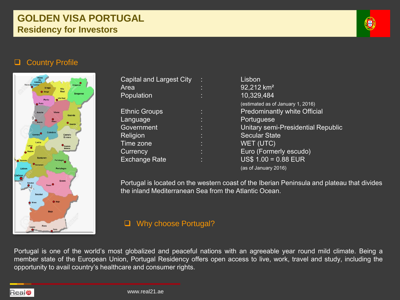# **GOLDEN VISA PORTUGAL Residency for Investors**



# **Q** Country Profile



| Capital and Largest City | Lisbon                              |
|--------------------------|-------------------------------------|
| Area                     | 92,212 km <sup>2</sup>              |
| Population               | 10,329,484                          |
|                          | (estimated as of January 1, 2016)   |
| <b>Ethnic Groups</b>     | <b>Predominantly white Official</b> |
| Language                 | Portuguese                          |
| Government               | Unitary semi-Presidential Republic  |
| Religion                 | <b>Secular State</b>                |
| Time zone                | WET (UTC)                           |
| Currency                 | Euro (Formerly escudo)              |
| <b>Exchange Rate</b>     | $US$ 1.00 = 0.88$ EUR               |
|                          | (as of January 2016)                |

Portugal is located on the western coast of the Iberian Peninsula and plateau that divides the inland Mediterranean Sea from the Atlantic Ocean.

#### **Q** Why choose Portugal?

Portugal is one of the world's most globalized and peaceful nations with an agreeable year round mild climate. Being a member state of the European Union, Portugal Residency offers open access to live, work, travel and study, including the opportunity to avail country's healthcare and consumer rights.

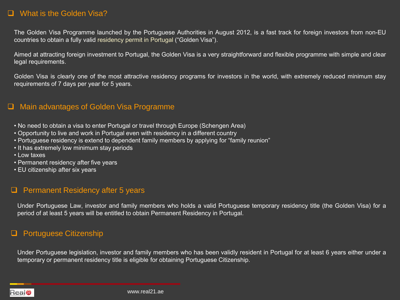#### □ What is the Golden Visa?

The Golden Visa Programme launched by the Portuguese Authorities in August 2012, is a fast track for foreign investors from non-EU countries to obtain a fully valid residency permit in Portugal ("Golden Visa").

Aimed at attracting foreign investment to Portugal, the Golden Visa is a very straightforward and flexible programme with simple and clear legal requirements.

Golden Visa is clearly one of the most attractive residency programs for investors in the world, with extremely reduced minimum stay requirements of 7 days per year for 5 years.

#### □ Main advantages of Golden Visa Programme

- No need to obtain a visa to enter Portugal or travel through Europe (Schengen Area)
- Opportunity to live and work in Portugal even with residency in a different country
- Portuguese residency is extend to dependent family members by applying for "family reunion"
- It has extremely low minimum stay periods
- Low taxes
- Permanent residency after five years
- EU citizenship after six years

# $\Box$  Permanent Residency after 5 years

Under Portuguese Law, investor and family members who holds a valid Portuguese temporary residency title (the Golden Visa) for a period of at least 5 years will be entitled to obtain Permanent Residency in Portugal.

# □ Portuguese Citizenship

Under Portuguese legislation, investor and family members who has been validly resident in Portugal for at least 6 years either under a temporary or permanent residency title is eligible for obtaining Portuguese Citizenship.

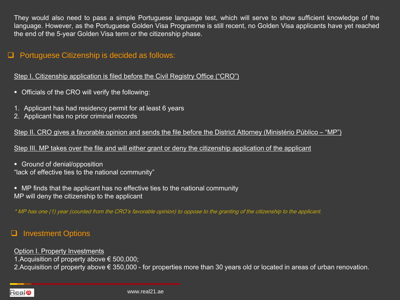They would also need to pass a simple Portuguese language test, which will serve to show sufficient knowledge of the language. However, as the Portuguese Golden Visa Programme is still recent, no Golden Visa applicants have yet reached the end of the 5-year Golden Visa term or the citizenship phase.

#### $\Box$  Portuguese Citizenship is decided as follows:

Step I. Citizenship application is filed before the Civil Registry Office ("CRO")

- Officials of the CRO will verify the following:
- 1. Applicant has had residency permit for at least 6 years
- 2. Applicant has no prior criminal records

Step II. CRO gives a favorable opinion and sends the file before the District Attorney (Ministério Público – "MP")

Step III. MP takes over the file and will either grant or deny the citizenship application of the applicant

- **Ground of denial/opposition** "lack of effective ties to the national community"
- MP finds that the applicant has no effective ties to the national community MP will deny the citizenship to the applicant

\* MP has one (1) year (counted from the CRO's favorable opinion) to oppose to the granting of the citizenship to the applicant.

#### **Q** Investment Options

Option I. Property Investments

1.Acquisition of property above € 500,000;

2.Acquisition of property above € 350,000 - for properties more than 30 years old or located in areas of urban renovation.